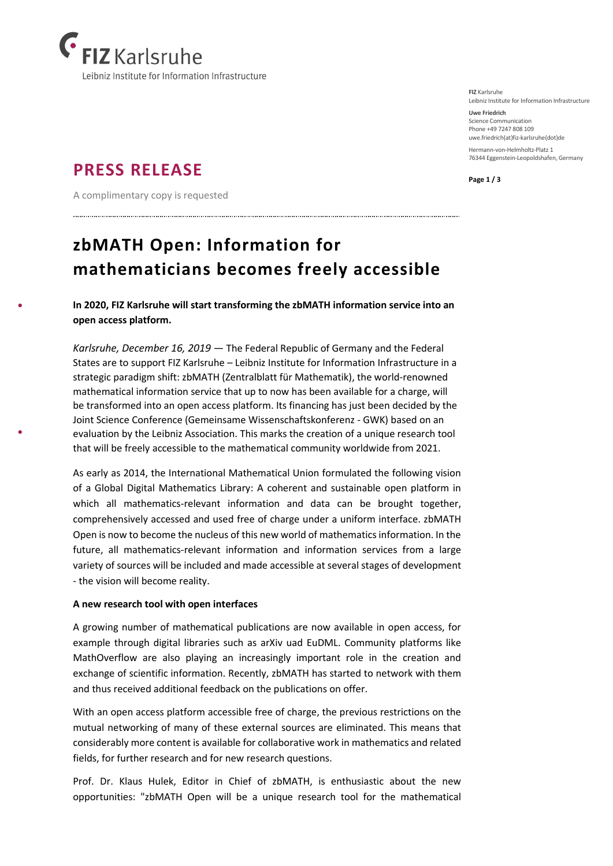

## **PRESS RELEASE**

A complimentary copy is requested

## **zbMATH Open: Information for mathematicians becomes freely accessible**

**In 2020, FIZ Karlsruhe will start transforming the zbMATH information service into an open access platform.**

*Karlsruhe, December 16, 2019* — The Federal Republic of Germany and the Federal States are to support FIZ Karlsruhe – Leibniz Institute for Information Infrastructure in a strategic paradigm shift: zbMATH (Zentralblatt für Mathematik), the world-renowned mathematical information service that up to now has been available for a charge, will be transformed into an open access platform. Its financing has just been decided by the Joint Science Conference (Gemeinsame Wissenschaftskonferenz - GWK) based on an evaluation by the Leibniz Association. This marks the creation of a unique research tool that will be freely accessible to the mathematical community worldwide from 2021.

As early as 2014, the International Mathematical Union formulated the following vision of a Global Digital Mathematics Library: A coherent and sustainable open platform in which all mathematics-relevant information and data can be brought together, comprehensively accessed and used free of charge under a uniform interface. zbMATH Open is now to become the nucleus of this new world of mathematics information. In the future, all mathematics-relevant information and information services from a large variety of sources will be included and made accessible at several stages of development - the vision will become reality.

## **A new research tool with open interfaces**

A growing number of mathematical publications are now available in open access, for example through digital libraries such as arXiv uad EuDML. Community platforms like MathOverflow are also playing an increasingly important role in the creation and exchange of scientific information. Recently, zbMATH has started to network with them and thus received additional feedback on the publications on offer.

With an open access platform accessible free of charge, the previous restrictions on the mutual networking of many of these external sources are eliminated. This means that considerably more content is available for collaborative work in mathematics and related fields, for further research and for new research questions.

Prof. Dr. Klaus Hulek, Editor in Chief of zbMATH, is enthusiastic about the new opportunities: "zbMATH Open will be a unique research tool for the mathematical

**FIZ** Karlsruhe Leibniz Institute for Information Infrastructure

**Uwe Friedrich** Science Communication Phone +49 7247 808 109 uwe.friedrich(at)fiz-karlsruhe(dot)de Hermann-von-Helmholtz-Platz 1 76344 Eggenstein-Leopoldshafen, Germany

**Page 1 / 3**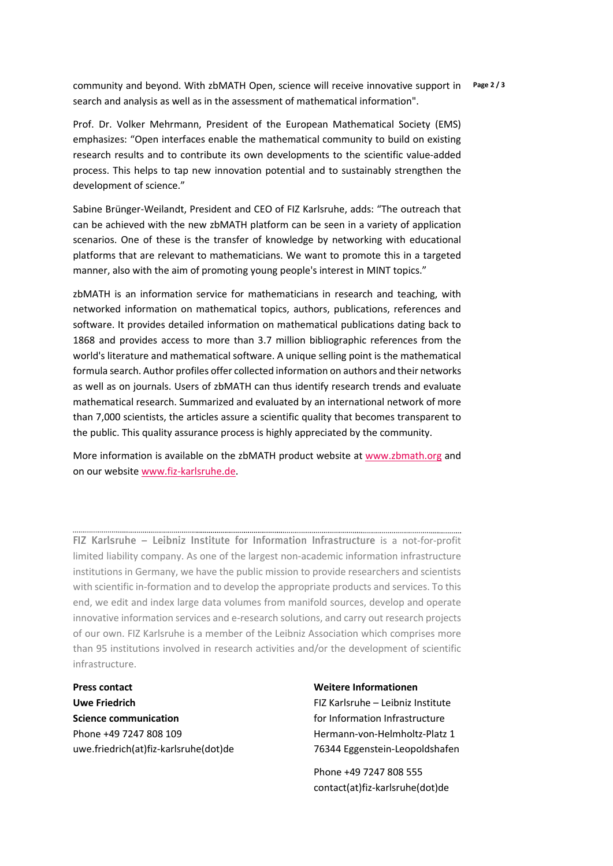community and beyond. With zbMATH Open, science will receive innovative support in **Page 2 / 3** search and analysis as well as in the assessment of mathematical information".

Prof. Dr. Volker Mehrmann, President of the European Mathematical Society (EMS) emphasizes: "Open interfaces enable the mathematical community to build on existing research results and to contribute its own developments to the scientific value-added process. This helps to tap new innovation potential and to sustainably strengthen the development of science."

Sabine Brünger-Weilandt, President and CEO of FIZ Karlsruhe, adds: "The outreach that can be achieved with the new zbMATH platform can be seen in a variety of application scenarios. One of these is the transfer of knowledge by networking with educational platforms that are relevant to mathematicians. We want to promote this in a targeted manner, also with the aim of promoting young people's interest in MINT topics."

zbMATH is an information service for mathematicians in research and teaching, with networked information on mathematical topics, authors, publications, references and software. It provides detailed information on mathematical publications dating back to 1868 and provides access to more than 3.7 million bibliographic references from the world's literature and mathematical software. A unique selling point is the mathematical formula search. Author profiles offer collected information on authors and their networks as well as on journals. Users of zbMATH can thus identify research trends and evaluate mathematical research. Summarized and evaluated by an international network of more than 7,000 scientists, the articles assure a scientific quality that becomes transparent to the public. This quality assurance process is highly appreciated by the community.

More information is available on the zbMATH product website at [www.zbmath.org](http://www.zbmath.org/) and on our website [www.fiz-karlsruhe.de.](http://www.fiz-karlsruhe.de/)

FIZ Karlsruhe – Leibniz Institute for Information Infrastructure is a not-for-profit limited liability company. As one of the largest non-academic information infrastructure institutions in Germany, we have the public mission to provide researchers and scientists with scientific in-formation and to develop the appropriate products and services. To this end, we edit and index large data volumes from manifold sources, develop and operate innovative information services and e-research solutions, and carry out research projects of our own. FIZ Karlsruhe is a member of the Leibniz Association which comprises more than 95 institutions involved in research activities and/or the development of scientific infrastructure.

**Press contact Uwe Friedrich Science communication** Phone +49 7247 808 109 uwe.friedrich(at)fiz-karlsruhe(dot)de **Weitere Informationen** FIZ Karlsruhe – Leibniz Institute for Information Infrastructure Hermann-von-Helmholtz-Platz 1 76344 Eggenstein-Leopoldshafen

Phone +49 7247 808 555 contact(at)fiz-karlsruhe(dot)de